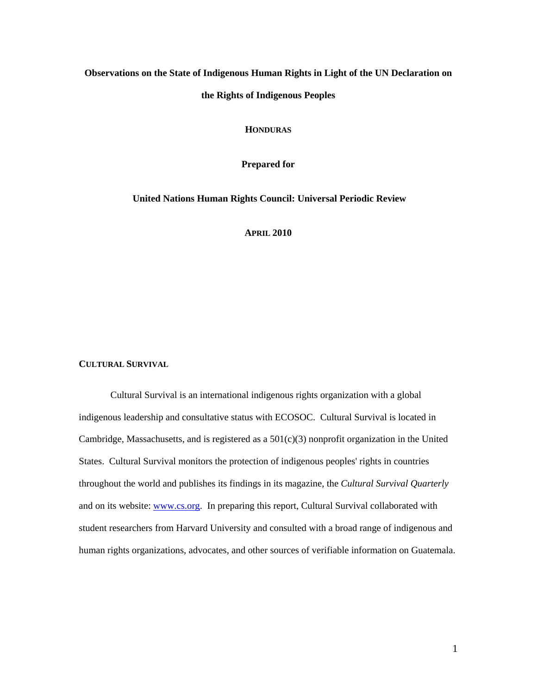## **Observations on the State of Indigenous Human Rights in Light of the UN Declaration on**

#### **the Rights of Indigenous Peoples**

## **HONDURAS**

**Prepared for** 

 **United Nations Human Rights Council: Universal Periodic Review** 

**APRIL 2010**

#### **CULTURAL SURVIVAL**

Cultural Survival is an international indigenous rights organization with a global indigenous leadership and consultative status with ECOSOC. Cultural Survival is located in Cambridge, Massachusetts, and is registered as a  $501(c)(3)$  nonprofit organization in the United States. Cultural Survival monitors the protection of indigenous peoples' rights in countries throughout the world and publishes its findings in its magazine, the *Cultural Survival Quarterly* and on its website: www.cs.org. In preparing this report, Cultural Survival collaborated with student researchers from Harvard University and consulted with a broad range of indigenous and human rights organizations, advocates, and other sources of verifiable information on Guatemala.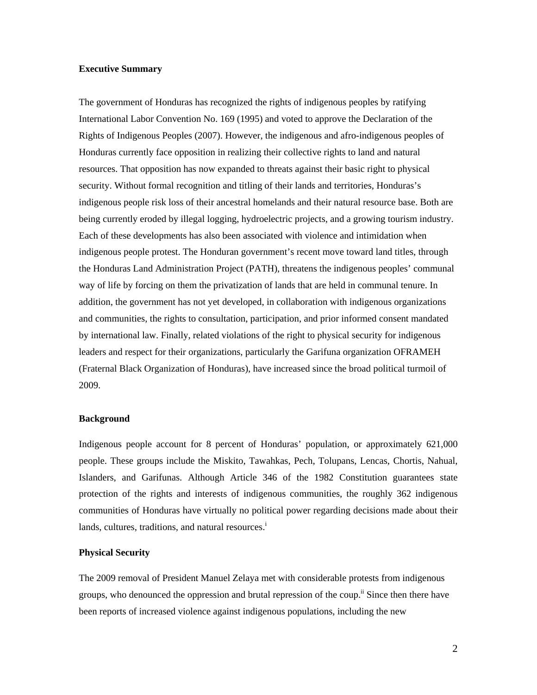## **Executive Summary**

The government of Honduras has recognized the rights of indigenous peoples by ratifying International Labor Convention No. 169 (1995) and voted to approve the Declaration of the Rights of Indigenous Peoples (2007). However, the indigenous and afro-indigenous peoples of Honduras currently face opposition in realizing their collective rights to land and natural resources. That opposition has now expanded to threats against their basic right to physical security. Without formal recognition and titling of their lands and territories, Honduras's indigenous people risk loss of their ancestral homelands and their natural resource base. Both are being currently eroded by illegal logging, hydroelectric projects, and a growing tourism industry. Each of these developments has also been associated with violence and intimidation when indigenous people protest. The Honduran government's recent move toward land titles, through the Honduras Land Administration Project (PATH), threatens the indigenous peoples' communal way of life by forcing on them the privatization of lands that are held in communal tenure. In addition, the government has not yet developed, in collaboration with indigenous organizations and communities, the rights to consultation, participation, and prior informed consent mandated by international law. Finally, related violations of the right to physical security for indigenous leaders and respect for their organizations, particularly the Garifuna organization OFRAMEH (Fraternal Black Organization of Honduras), have increased since the broad political turmoil of 2009.

#### **Background**

Indigenous people account for 8 percent of Honduras' population, or approximately 621,000 people. These groups include the Miskito, Tawahkas, Pech, Tolupans, Lencas, Chortis, Nahual, Islanders, and Garifunas. Although Article 346 of the 1982 Constitution guarantees state protection of the rights and interests of indigenous communities, the roughly 362 indigenous communities of Honduras have virtually no political power regarding decisions made about their lands, cultures, traditions, and natural resources.<sup>i</sup>

## **Physical Security**

The 2009 removal of President Manuel Zelaya met with considerable protests from indigenous groups, who denounced the oppression and brutal repression of the coup.<sup>ii</sup> Since then there have been reports of increased violence against indigenous populations, including the new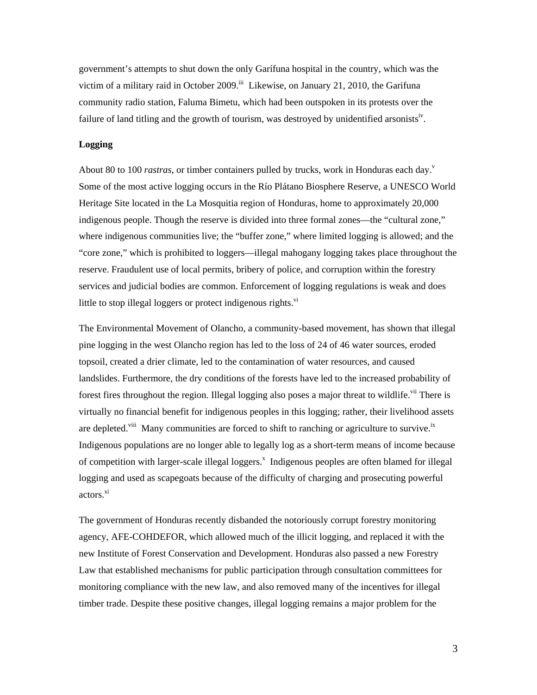government's attempts to shut down the only Garífuna hospital in the country, which was the victim of a military raid in October 2009.<sup>iii</sup> Likewise, on January 21, 2010, the Garifuna community radio station, Faluma Bimetu, which had been outspoken in its protests over the failure of land titling and the growth of tourism, was destroyed by unidentified arsonists<sup>iv</sup>.

# **Logging**

About 80 to 100 *rastras*, or timber containers pulled by trucks, work in Honduras each day.<sup>v</sup> Some of the most active logging occurs in the Río Plátano Biosphere Reserve, a UNESCO World Heritage Site located in the La Mosquitia region of Honduras, home to approximately 20,000 indigenous people. Though the reserve is divided into three formal zones—the "cultural zone," where indigenous communities live; the "buffer zone," where limited logging is allowed; and the "core zone," which is prohibited to loggers—illegal mahogany logging takes place throughout the reserve. Fraudulent use of local permits, bribery of police, and corruption within the forestry services and judicial bodies are common. Enforcement of logging regulations is weak and does little to stop illegal loggers or protect indigenous rights. $\frac{vi}{i}$ 

The Environmental Movement of Olancho, a community-based movement, has shown that illegal pine logging in the west Olancho region has led to the loss of 24 of 46 water sources, eroded topsoil, created a drier climate, led to the contamination of water resources, and caused landslides. Furthermore, the dry conditions of the forests have led to the increased probability of forest fires throughout the region. Illegal logging also poses a major threat to wildlife. <sup>vii</sup> There is virtually no financial benefit for indigenous peoples in this logging; rather, their livelihood assets are depleted.<sup>viii</sup> Many communities are forced to shift to ranching or agriculture to survive.<sup>ix</sup> Indigenous populations are no longer able to legally log as a short-term means of income because of competition with larger-scale illegal loggers.<sup>x</sup> Indigenous peoples are often blamed for illegal logging and used as scapegoats because of the difficulty of charging and prosecuting powerful actors.<sup>xi</sup>

The government of Honduras recently disbanded the notoriously corrupt forestry monitoring agency, AFE-COHDEFOR, which allowed much of the illicit logging, and replaced it with the new Institute of Forest Conservation and Development. Honduras also passed a new Forestry Law that established mechanisms for public participation through consultation committees for monitoring compliance with the new law, and also removed many of the incentives for illegal timber trade. Despite these positive changes, illegal logging remains a major problem for the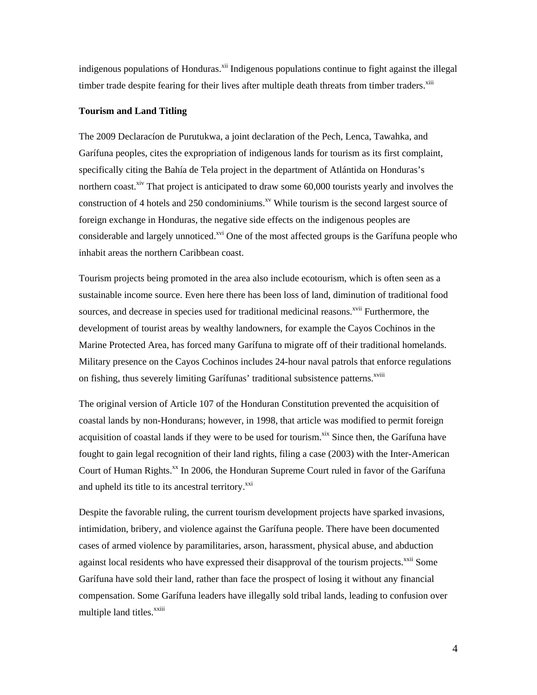indigenous populations of Honduras.<sup>xii</sup> Indigenous populations continue to fight against the illegal timber trade despite fearing for their lives after multiple death threats from timber traders.<sup>xiii</sup>

## **Tourism and Land Titling**

The 2009 Declaracíon de Purutukwa, a joint declaration of the Pech, Lenca, Tawahka, and Garífuna peoples, cites the expropriation of indigenous lands for tourism as its first complaint, specifically citing the Bahía de Tela project in the department of Atlántida on Honduras's northern coast.<sup>xiv</sup> That project is anticipated to draw some  $60,000$  tourists yearly and involves the construction of 4 hotels and 250 condominiums.<sup>xv</sup> While tourism is the second largest source of foreign exchange in Honduras, the negative side effects on the indigenous peoples are considerable and largely unnoticed.<sup> $xvi$ </sup> One of the most affected groups is the Garífuna people who inhabit areas the northern Caribbean coast.

Tourism projects being promoted in the area also include ecotourism, which is often seen as a sustainable income source. Even here there has been loss of land, diminution of traditional food sources, and decrease in species used for traditional medicinal reasons.<sup>xvii</sup> Furthermore, the development of tourist areas by wealthy landowners, for example the Cayos Cochinos in the Marine Protected Area, has forced many Garífuna to migrate off of their traditional homelands. Military presence on the Cayos Cochinos includes 24-hour naval patrols that enforce regulations on fishing, thus severely limiting Garífunas' traditional subsistence patterns.<sup>xviii</sup>

The original version of Article 107 of the Honduran Constitution prevented the acquisition of coastal lands by non-Hondurans; however, in 1998, that article was modified to permit foreign acquisition of coastal lands if they were to be used for tourism.<sup>xix</sup> Since then, the Garífuna have fought to gain legal recognition of their land rights, filing a case (2003) with the Inter-American Court of Human Rights.<sup>xx</sup> In 2006, the Honduran Supreme Court ruled in favor of the Garífuna and upheld its title to its ancestral territory.<sup>xxi</sup>

Despite the favorable ruling, the current tourism development projects have sparked invasions, intimidation, bribery, and violence against the Garífuna people. There have been documented cases of armed violence by paramilitaries, arson, harassment, physical abuse, and abduction against local residents who have expressed their disapproval of the tourism projects.<sup>xxii</sup> Some Garífuna have sold their land, rather than face the prospect of losing it without any financial compensation. Some Garífuna leaders have illegally sold tribal lands, leading to confusion over multiple land titles.<sup>xxiii</sup>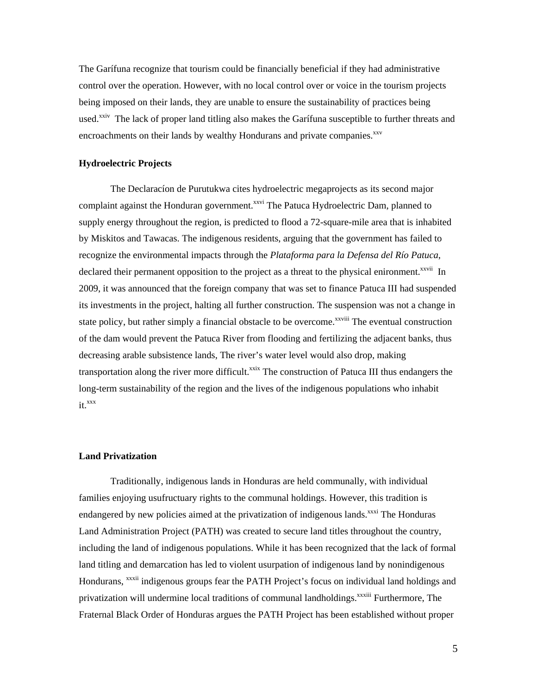The Garífuna recognize that tourism could be financially beneficial if they had administrative control over the operation. However, with no local control over or voice in the tourism projects being imposed on their lands, they are unable to ensure the sustainability of practices being used.<sup>xxiv</sup> The lack of proper land titling also makes the Garífuna susceptible to further threats and encroachments on their lands by wealthy Hondurans and private companies.<sup>xxv</sup>

#### **Hydroelectric Projects**

 The Declaracíon de Purutukwa cites hydroelectric megaprojects as its second major complaint against the Honduran government.<sup>xxvi</sup> The Patuca Hydroelectric Dam, planned to supply energy throughout the region, is predicted to flood a 72-square-mile area that is inhabited by Miskitos and Tawacas. The indigenous residents, arguing that the government has failed to recognize the environmental impacts through the *Plataforma para la Defensa del Río Patuca*, declared their permanent opposition to the project as a threat to the physical enironment.<sup>xxvii</sup> In 2009, it was announced that the foreign company that was set to finance Patuca III had suspended its investments in the project, halting all further construction. The suspension was not a change in state policy, but rather simply a financial obstacle to be overcome.<sup>xxviii</sup> The eventual construction of the dam would prevent the Patuca River from flooding and fertilizing the adjacent banks, thus decreasing arable subsistence lands, The river's water level would also drop, making transportation along the river more difficult.<sup>xxix</sup> The construction of Patuca III thus endangers the long-term sustainability of the region and the lives of the indigenous populations who inhabit it.<sup>xxx</sup>

#### **Land Privatization**

 Traditionally, indigenous lands in Honduras are held communally, with individual families enjoying usufructuary rights to the communal holdings. However, this tradition is endangered by new policies aimed at the privatization of indigenous lands.<sup>xxxi</sup> The Honduras Land Administration Project (PATH) was created to secure land titles throughout the country, including the land of indigenous populations. While it has been recognized that the lack of formal land titling and demarcation has led to violent usurpation of indigenous land by nonindigenous Hondurans, <sup>xxxii</sup> indigenous groups fear the PATH Project's focus on individual land holdings and privatization will undermine local traditions of communal landholdings.<sup>xxxiii</sup> Furthermore, The Fraternal Black Order of Honduras argues the PATH Project has been established without proper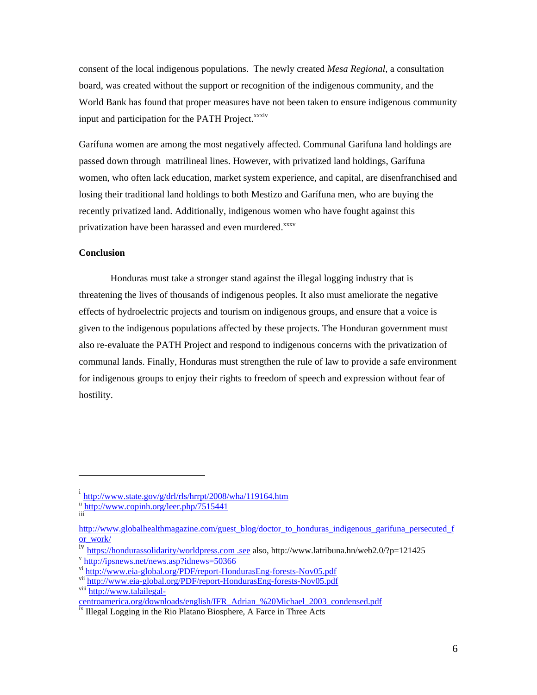consent of the local indigenous populations. The newly created *Mesa Regional,* a consultation board, was created without the support or recognition of the indigenous community, and the World Bank has found that proper measures have not been taken to ensure indigenous community input and participation for the PATH Project. $\frac{x}{x}$ 

Garífuna women are among the most negatively affected. Communal Garifuna land holdings are passed down through matrilineal lines. However, with privatized land holdings, Garífuna women, who often lack education, market system experience, and capital, are disenfranchised and losing their traditional land holdings to both Mestizo and Garífuna men, who are buying the recently privatized land. Additionally, indigenous women who have fought against this privatization have been harassed and even murdered.<sup>xxxv</sup>

# **Conclusion**

 Honduras must take a stronger stand against the illegal logging industry that is threatening the lives of thousands of indigenous peoples. It also must ameliorate the negative effects of hydroelectric projects and tourism on indigenous groups, and ensure that a voice is given to the indigenous populations affected by these projects. The Honduran government must also re-evaluate the PATH Project and respond to indigenous concerns with the privatization of communal lands. Finally, Honduras must strengthen the rule of law to provide a safe environment for indigenous groups to enjoy their rights to freedom of speech and expression without fear of hostility.

 $\overline{a}$ 

viii http://www.talailegal-<br>centroamerica.org/downloads/english/IFR Adrian %20Michael 2003 condensed.pdf

<sup>&</sup>lt;sup>i</sup> http://www.state.gov/g/drl/rls/hrrpt/2008/wha/119164.htm<br><sup>ii</sup> http://www.copinh.org/leer.php/7515441<br>iii

http://www.globalhealthmagazine.com/guest\_blog/doctor\_to\_honduras\_indigenous\_garifuna\_persecuted\_f

or\_work/<br>iv https://hondurassolidarity/worldpress.com .see also, http://www.latribuna.hn/web2.0/?p=121425<br><sup>v</sup> http://ipsnews.net/news.asp?idnews=50366<br><sup>vi</sup> http://www.eia-global.org/PDF/report-HondurasEng-forests-Nov05.pdf

vii http://www.eia-global.org/PDF/report-HondurasEng-forests-Nov05.pdf

 $\frac{d}{dx}$  Illegal Logging in the Rio Platano Biosphere, A Farce in Three Acts